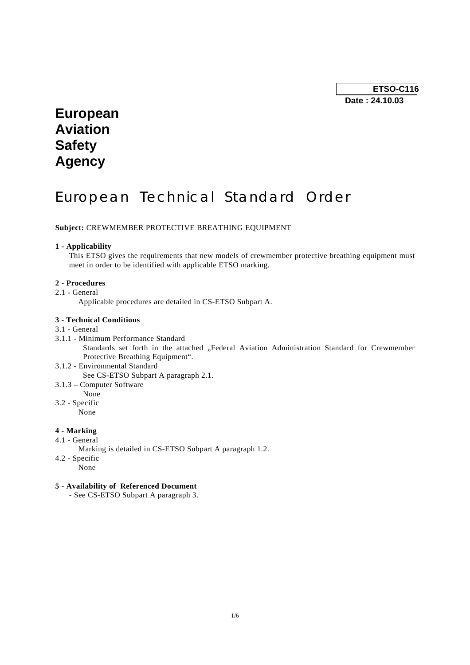**ETSO-C116 Date : 24.10.03** 

# **European Aviation Safety Agency**

# European Technical Standard Order

**Subject:** CREWMEMBER PROTECTIVE BREATHING EQUIPMENT

#### **1 - Applicability**

This ETSO gives the requirements that new models of crewmember protective breathing equipment must meet in order to be identified with applicable ETSO marking.

#### **2 - Procedures**

2.1 - General

Applicable procedures are detailed in CS-ETSO Subpart A.

### **3 - Technical Conditions**

## 3.1 - General

- 3.1.1 Minimum Performance Standard Standards set forth in the attached "Federal Aviation Administration Standard for Crewmember Protective Breathing Equipment".
- 3.1.2 Environmental Standard See CS-ETSO Subpart A paragraph 2.1.
- 3.1.3 Computer Software
	- None
- 3.2 Specific

None

## **4 - Marking**

- 4.1 General
	- Marking is detailed in CS-ETSO Subpart A paragraph 1.2.
- 4.2 Specific
	- None

## **5 - Availability of Referenced Document**

- See CS-ETSO Subpart A paragraph 3.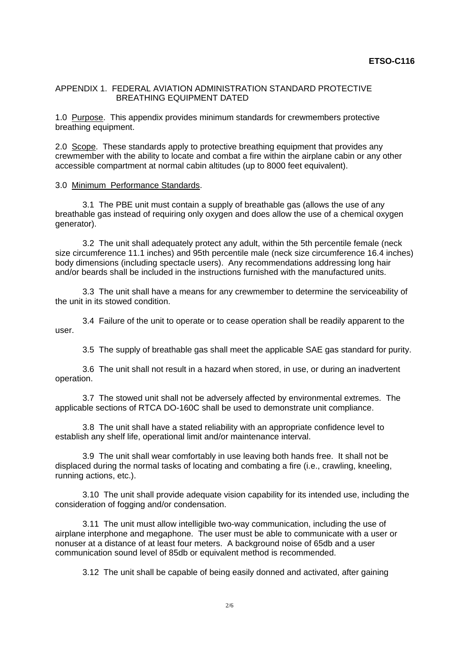## APPENDIX 1. FEDERAL AVIATION ADMINISTRATION STANDARD PROTECTIVE BREATHING EQUIPMENT DATED

1.0 Purpose. This appendix provides minimum standards for crewmembers protective breathing equipment.

2.0 Scope. These standards apply to protective breathing equipment that provides any crewmember with the ability to locate and combat a fire within the airplane cabin or any other accessible compartment at normal cabin altitudes (up to 8000 feet equivalent).

## 3.0 Minimum Performance Standards.

 3.1 The PBE unit must contain a supply of breathable gas (allows the use of any breathable gas instead of requiring only oxygen and does allow the use of a chemical oxygen generator).

 3.2 The unit shall adequately protect any adult, within the 5th percentile female (neck size circumference 11.1 inches) and 95th percentile male (neck size circumference 16.4 inches) body dimensions (including spectacle users). Any recommendations addressing long hair and/or beards shall be included in the instructions furnished with the manufactured units.

 3.3 The unit shall have a means for any crewmember to determine the serviceability of the unit in its stowed condition.

 3.4 Failure of the unit to operate or to cease operation shall be readily apparent to the user.

3.5 The supply of breathable gas shall meet the applicable SAE gas standard for purity.

 3.6 The unit shall not result in a hazard when stored, in use, or during an inadvertent operation.

 3.7 The stowed unit shall not be adversely affected by environmental extremes. The applicable sections of RTCA DO-160C shall be used to demonstrate unit compliance.

 3.8 The unit shall have a stated reliability with an appropriate confidence level to establish any shelf life, operational limit and/or maintenance interval.

 3.9 The unit shall wear comfortably in use leaving both hands free. It shall not be displaced during the normal tasks of locating and combating a fire (i.e., crawling, kneeling, running actions, etc.).

 3.10 The unit shall provide adequate vision capability for its intended use, including the consideration of fogging and/or condensation.

 3.11 The unit must allow intelligible two-way communication, including the use of airplane interphone and megaphone. The user must be able to communicate with a user or nonuser at a distance of at least four meters. A background noise of 65db and a user communication sound level of 85db or equivalent method is recommended.

3.12 The unit shall be capable of being easily donned and activated, after gaining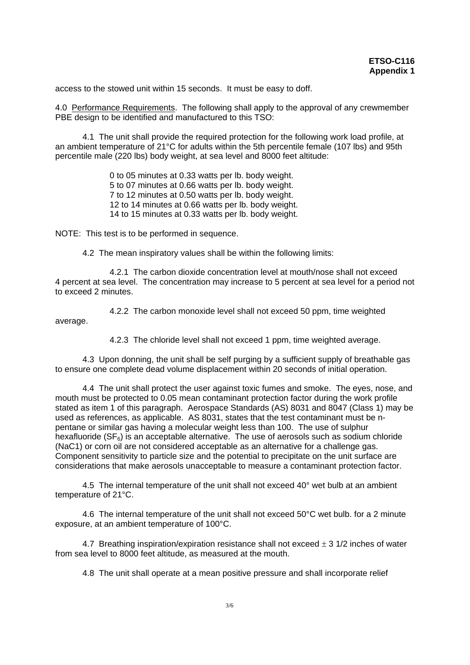access to the stowed unit within 15 seconds. It must be easy to doff.

4.0 Performance Requirements. The following shall apply to the approval of any crewmember PBE design to be identified and manufactured to this TSO:

 4.1 The unit shall provide the required protection for the following work load profile, at an ambient temperature of 21°C for adults within the 5th percentile female (107 lbs) and 95th percentile male (220 lbs) body weight, at sea level and 8000 feet altitude:

> 0 to 05 minutes at 0.33 watts per lb. body weight. 5 to 07 minutes at 0.66 watts per lb. body weight. 7 to 12 minutes at 0.50 watts per lb. body weight. 12 to 14 minutes at 0.66 watts per lb. body weight. 14 to 15 minutes at 0.33 watts per lb. body weight.

NOTE: This test is to be performed in sequence.

4.2 The mean inspiratory values shall be within the following limits:

 4.2.1 The carbon dioxide concentration level at mouth/nose shall not exceed 4 percent at sea level. The concentration may increase to 5 percent at sea level for a period not to exceed 2 minutes.

 4.2.2 The carbon monoxide level shall not exceed 50 ppm, time weighted average.

4.2.3 The chloride level shall not exceed 1 ppm, time weighted average.

 4.3 Upon donning, the unit shall be self purging by a sufficient supply of breathable gas to ensure one complete dead volume displacement within 20 seconds of initial operation.

 4.4 The unit shall protect the user against toxic fumes and smoke. The eyes, nose, and mouth must be protected to 0.05 mean contaminant protection factor during the work profile stated as item 1 of this paragraph. Aerospace Standards (AS) 8031 and 8047 (Class 1) may be used as references, as applicable. AS 8031, states that the test contaminant must be npentane or similar gas having a molecular weight less than 100. The use of sulphur hexafluoride ( $SF<sub>6</sub>$ ) is an acceptable alternative. The use of aerosols such as sodium chloride (NaC1) or corn oil are not considered acceptable as an alternative for a challenge gas. Component sensitivity to particle size and the potential to precipitate on the unit surface are considerations that make aerosols unacceptable to measure a contaminant protection factor.

 4.5 The internal temperature of the unit shall not exceed 40° wet bulb at an ambient temperature of 21°C.

 4.6 The internal temperature of the unit shall not exceed 50°C wet bulb. for a 2 minute exposure, at an ambient temperature of 100°C.

4.7 Breathing inspiration/expiration resistance shall not exceed  $\pm$  3 1/2 inches of water from sea level to 8000 feet altitude, as measured at the mouth.

4.8 The unit shall operate at a mean positive pressure and shall incorporate relief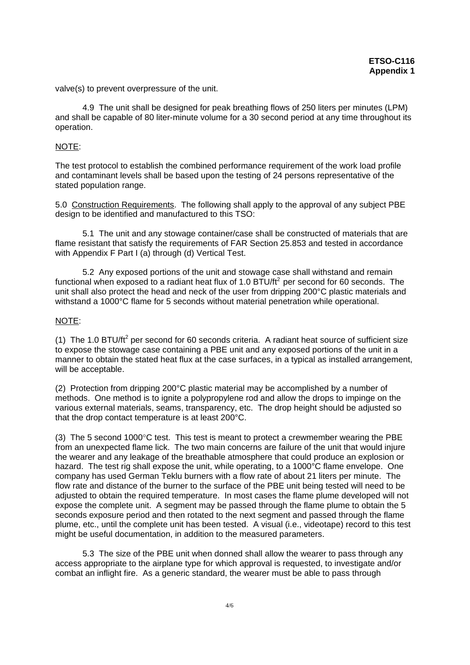valve(s) to prevent overpressure of the unit.

 4.9 The unit shall be designed for peak breathing flows of 250 liters per minutes (LPM) and shall be capable of 80 liter-minute volume for a 30 second period at any time throughout its operation.

## NOTE:

The test protocol to establish the combined performance requirement of the work load profile and contaminant levels shall be based upon the testing of 24 persons representative of the stated population range.

5.0 Construction Requirements. The following shall apply to the approval of any subject PBE design to be identified and manufactured to this TSO:

 5.1 The unit and any stowage container/case shall be constructed of materials that are flame resistant that satisfy the requirements of FAR Section 25.853 and tested in accordance with Appendix F Part I (a) through (d) Vertical Test.

 5.2 Any exposed portions of the unit and stowage case shall withstand and remain functional when exposed to a radiant heat flux of 1.0  $BTU/ft^2$  per second for 60 seconds. The unit shall also protect the head and neck of the user from dripping 200°C plastic materials and withstand a 1000°C flame for 5 seconds without material penetration while operational.

## NOTE:

(1) The 1.0 BTU/ft<sup>2</sup> per second for 60 seconds criteria. A radiant heat source of sufficient size to expose the stowage case containing a PBE unit and any exposed portions of the unit in a manner to obtain the stated heat flux at the case surfaces, in a typical as installed arrangement, will be acceptable.

(2) Protection from dripping 200°C plastic material may be accomplished by a number of methods. One method is to ignite a polypropylene rod and allow the drops to impinge on the various external materials, seams, transparency, etc. The drop height should be adjusted so that the drop contact temperature is at least 200°C.

(3) The 5 second 1000°C test. This test is meant to protect a crewmember wearing the PBE from an unexpected flame lick. The two main concerns are failure of the unit that would injure the wearer and any leakage of the breathable atmosphere that could produce an explosion or hazard. The test rig shall expose the unit, while operating, to a 1000°C flame envelope. One company has used German Teklu burners with a flow rate of about 21 liters per minute. The flow rate and distance of the burner to the surface of the PBE unit being tested will need to be adjusted to obtain the required temperature. In most cases the flame plume developed will not expose the complete unit. A segment may be passed through the flame plume to obtain the 5 seconds exposure period and then rotated to the next segment and passed through the flame plume, etc., until the complete unit has been tested. A visual (i.e., videotape) record to this test might be useful documentation, in addition to the measured parameters.

 5.3 The size of the PBE unit when donned shall allow the wearer to pass through any access appropriate to the airplane type for which approval is requested, to investigate and/or combat an inflight fire. As a generic standard, the wearer must be able to pass through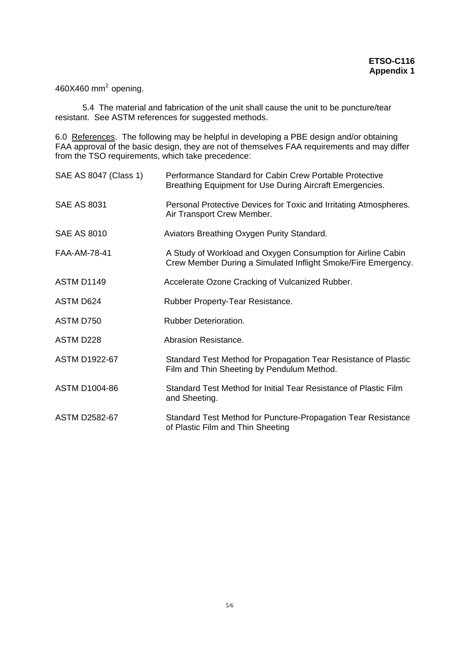460X460 mm<sup>2</sup> opening.

 5.4 The material and fabrication of the unit shall cause the unit to be puncture/tear resistant. See ASTM references for suggested methods.

6.0 References. The following may be helpful in developing a PBE design and/or obtaining FAA approval of the basic design, they are not of themselves FAA requirements and may differ from the TSO requirements, which take precedence:

| SAE AS 8047 (Class 1) | Performance Standard for Cabin Crew Portable Protective<br>Breathing Equipment for Use During Aircraft Emergencies.           |
|-----------------------|-------------------------------------------------------------------------------------------------------------------------------|
| <b>SAE AS 8031</b>    | Personal Protective Devices for Toxic and Irritating Atmospheres.<br>Air Transport Crew Member.                               |
| <b>SAE AS 8010</b>    | Aviators Breathing Oxygen Purity Standard.                                                                                    |
| FAA-AM-78-41          | A Study of Workload and Oxygen Consumption for Airline Cabin<br>Crew Member During a Simulated Inflight Smoke/Fire Emergency. |
| <b>ASTM D1149</b>     | Accelerate Ozone Cracking of Vulcanized Rubber.                                                                               |
| ASTM D624             | Rubber Property-Tear Resistance.                                                                                              |
| ASTM D750             | Rubber Deterioration.                                                                                                         |
| ASTM D228             | Abrasion Resistance.                                                                                                          |
| <b>ASTM D1922-67</b>  | Standard Test Method for Propagation Tear Resistance of Plastic<br>Film and Thin Sheeting by Pendulum Method.                 |
| <b>ASTM D1004-86</b>  | Standard Test Method for Initial Tear Resistance of Plastic Film<br>and Sheeting.                                             |
| <b>ASTM D2582-67</b>  | Standard Test Method for Puncture-Propagation Tear Resistance<br>of Plastic Film and Thin Sheeting                            |